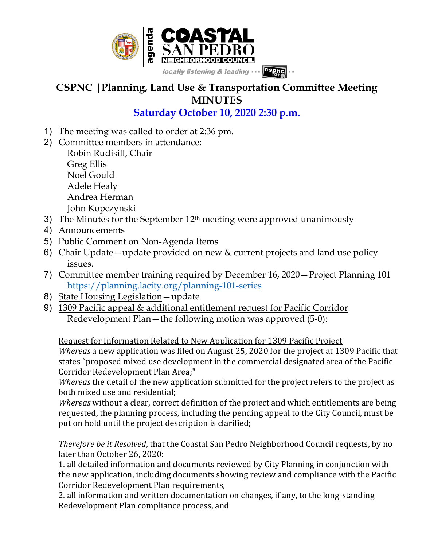

## **CSPNC |Planning, Land Use & Transportation Committee Meeting MINUTES**

## **Saturday October 10, 2020 2:30 p.m.**

- 1) The meeting was called to order at 2:36 pm.
- 2) Committee members in attendance:

Robin Rudisill, Chair Greg Ellis Noel Gould Adele Healy Andrea Herman John Kopczynski

- 3) The Minutes for the September  $12<sup>th</sup>$  meeting were approved unanimously
- 4) Announcements
- 5) Public Comment on Non-Agenda Items
- 6) Chair Update—update provided on new & current projects and land use policy issues.
- 7) Committee member training required by December 16, 2020—Project Planning 101 https://planning.lacity.org/planning-101-series
- 8) State Housing Legislation—update
- 9) 1309 Pacific appeal & additional entitlement request for Pacific Corridor Redevelopment Plan—the following motion was approved (5-0):

Request for Information Related to New Application for 1309 Pacific Project *Whereas* a new application was filed on August 25, 2020 for the project at 1309 Pacific that states "proposed mixed use development in the commercial designated area of the Pacific Corridor Redevelopment Plan Area;"

*Whereas* the detail of the new application submitted for the project refers to the project as both mixed use and residential:

Whereas without a clear, correct definition of the project and which entitlements are being requested, the planning process, including the pending appeal to the City Council, must be put on hold until the project description is clarified;

*Therefore be it Resolved*, that the Coastal San Pedro Neighborhood Council requests, by no later than October 26, 2020:

1. all detailed information and documents reviewed by City Planning in conjunction with the new application, including documents showing review and compliance with the Pacific Corridor Redevelopment Plan requirements,

2. all information and written documentation on changes, if any, to the long-standing Redevelopment Plan compliance process, and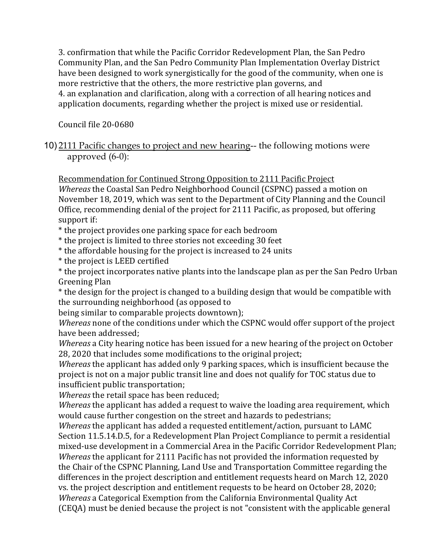3. confirmation that while the Pacific Corridor Redevelopment Plan, the San Pedro Community Plan, and the San Pedro Community Plan Implementation Overlay District have been designed to work synergistically for the good of the community, when one is more restrictive that the others, the more restrictive plan governs, and 4. an explanation and clarification, along with a correction of all hearing notices and application documents, regarding whether the project is mixed use or residential.

Council file 20-0680

10) 2111 Pacific changes to project and new hearing-- the following motions were approved (6-0):

Recommendation for Continued Strong Opposition to 2111 Pacific Project

*Whereas* the Coastal San Pedro Neighborhood Council (CSPNC) passed a motion on November 18, 2019, which was sent to the Department of City Planning and the Council Office, recommending denial of the project for 2111 Pacific, as proposed, but offering support if:

\* the project provides one parking space for each bedroom

\* the project is limited to three stories not exceeding 30 feet

\* the affordable housing for the project is increased to 24 units

\* the project is LEED certified

\* the project incorporates native plants into the landscape plan as per the San Pedro Urban Greening Plan

\* the design for the project is changed to a building design that would be compatible with the surrounding neighborhood (as opposed to

being similar to comparable projects downtown);

*Whereas* none of the conditions under which the CSPNC would offer support of the project have been addressed;

*Whereas* a City hearing notice has been issued for a new hearing of the project on October 28, 2020 that includes some modifications to the original project;

*Whereas* the applicant has added only 9 parking spaces, which is insufficient because the project is not on a major public transit line and does not qualify for TOC status due to insufficient public transportation;

*Whereas* the retail space has been reduced;

*Whereas* the applicant has added a request to waive the loading area requirement, which would cause further congestion on the street and hazards to pedestrians;

*Whereas* the applicant has added a requested entitlement/action, pursuant to LAMC Section 11.5.14.D.5, for a Redevelopment Plan Project Compliance to permit a residential mixed-use development in a Commercial Area in the Pacific Corridor Redevelopment Plan; *Whereas* the applicant for 2111 Pacific has not provided the information requested by the Chair of the CSPNC Planning, Land Use and Transportation Committee regarding the differences in the project description and entitlement requests heard on March 12, 2020 vs. the project description and entitlement requests to be heard on October 28, 2020; *Whereas* a Categorical Exemption from the California Environmental Quality Act (CEQA) must be denied because the project is not "consistent with the applicable general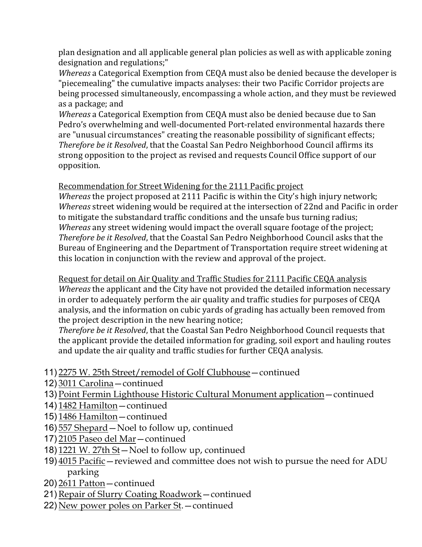plan designation and all applicable general plan policies as well as with applicable zoning designation and regulations:"

*Whereas* a Categorical Exemption from CEQA must also be denied because the developer is "piecemealing" the cumulative impacts analyses: their two Pacific Corridor projects are being processed simultaneously, encompassing a whole action, and they must be reviewed as a package; and

*Whereas* a Categorical Exemption from CEQA must also be denied because due to San Pedro's overwhelming and well-documented Port-related environmental hazards there are "unusual circumstances" creating the reasonable possibility of significant effects; *Therefore be it Resolved*, that the Coastal San Pedro Neighborhood Council affirms its strong opposition to the project as revised and requests Council Office support of our opposition.

Recommendation for Street Widening for the 2111 Pacific project

*Whereas* the project proposed at 2111 Pacific is within the City's high injury network; *Whereas* street widening would be required at the intersection of 22nd and Pacific in order to mitigate the substandard traffic conditions and the unsafe bus turning radius; *Whereas* any street widening would impact the overall square footage of the project; *Therefore be it Resolved*, that the Coastal San Pedro Neighborhood Council asks that the Bureau of Engineering and the Department of Transportation require street widening at this location in conjunction with the review and approval of the project.

Request for detail on Air Quality and Traffic Studies for 2111 Pacific CEQA analysis *Whereas* the applicant and the City have not provided the detailed information necessary in order to adequately perform the air quality and traffic studies for purposes of CEQA analysis, and the information on cubic yards of grading has actually been removed from the project description in the new hearing notice;

*Therefore be it Resolved*, that the Coastal San Pedro Neighborhood Council requests that the applicant provide the detailed information for grading, soil export and hauling routes and update the air quality and traffic studies for further CEQA analysis.

- 11) 2275 W. 25th Street/remodel of Golf Clubhouse—continued
- 12) 3011 Carolina—continued
- 13) Point Fermin Lighthouse Historic Cultural Monument application—continued
- 14) 1482 Hamilton—continued
- 15) 1486 Hamilton—continued
- 16) 557 Shepard—Noel to follow up, continued
- 17) 2105 Paseo del Mar—continued
- 18) 1221 W. 27th St—Noel to follow up, continued
- 19) 4015 Pacific—reviewed and committee does not wish to pursue the need for ADU parking
- 20) 2611 Patton—continued
- 21) Repair of Slurry Coating Roadwork continued
- 22) New power poles on Parker St.—continued